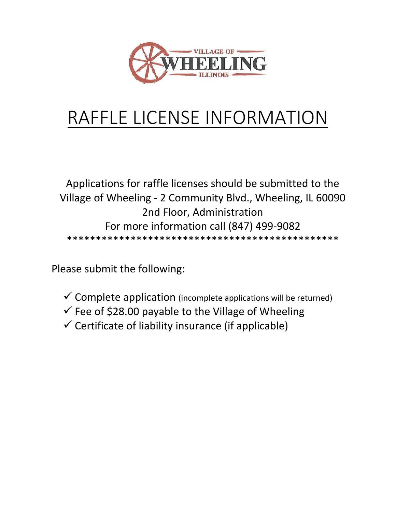

# RAFFLE LICENSE INFORMATION

Applications for raffle licenses should be submitted to the Village of Wheeling - 2 Community Blvd., Wheeling, IL 60090 2nd Floor, Administration For more information call (847) 499-9082 \*\*\*\*\*\*\*\*\*\*\*\*\*\*\*\*\*\*\*\*\*\*\*\*\*\*\*\*\*\*\*\*\*\*\*\*\*\*\*\*\*\*\*\*\*\*\*

Please submit the following:

- $\checkmark$  Complete application (incomplete applications will be returned)
- $\checkmark$  Fee of \$28.00 payable to the Village of Wheeling
- $\checkmark$  Certificate of liability insurance (if applicable)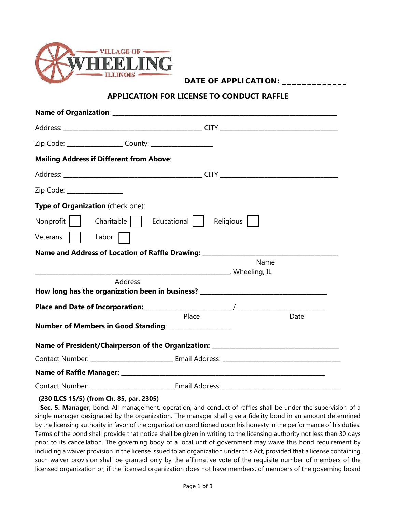

**DATE OF APPLICATION:** 

#### **APPLICATION FOR LICENSE TO CONDUCT RAFFLE**

| <b>Mailing Address if Different from Above:</b>                                  |       |      |
|----------------------------------------------------------------------------------|-------|------|
|                                                                                  |       |      |
| Zip Code: _________________                                                      |       |      |
| Type of Organization (check one):                                                |       |      |
| Nonprofit   Charitable   Educational   Religious                                 |       |      |
| Veterans   Labor                                                                 |       |      |
| Name and Address of Location of Raffle Drawing: ________________________________ |       |      |
|                                                                                  |       | Name |
| Address                                                                          |       |      |
| How long has the organization been in business? ________________________________ |       |      |
|                                                                                  |       |      |
|                                                                                  | Place | Date |
| Number of Members in Good Standing: ________________                             |       |      |
| Name of President/Chairperson of the Organization: _____________________________ |       |      |
|                                                                                  |       |      |
|                                                                                  |       |      |
| Contact Number: _______________________________ Email Address:                   |       |      |

#### **(230 ILCS 15/5) (from Ch. 85, par. 2305)**

 **Sec. 5. Manager**; bond. All management, operation, and conduct of raffles shall be under the supervision of a single manager designated by the organization. The manager shall give a fidelity bond in an amount determined by the licensing authority in favor of the organization conditioned upon his honesty in the performance of his duties. Terms of the bond shall provide that notice shall be given in writing to the licensing authority not less than 30 days prior to its cancellation. The governing body of a local unit of government may waive this bond requirement by including a waiver provision in the license issued to an organization under this Act, provided that a license containing such waiver provision shall be granted only by the affirmative vote of the requisite number of members of the licensed organization or, if the licensed organization does not have members, of members of the governing board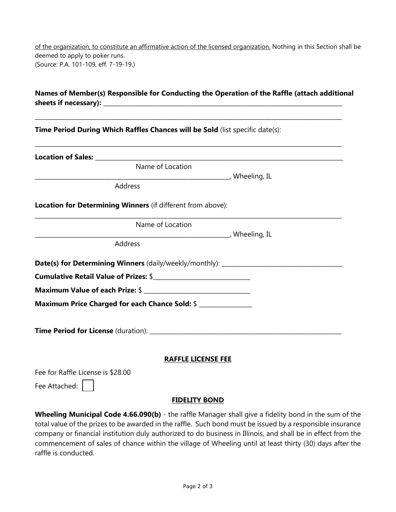of the organization, to constitute an affirmative action of the licensed organization. Nothing in this Section shall be deemed to apply to poker runs. (Source: P.A. 101-109, eff. 7-19-19.)

## **Names of Member(s) Responsible for Conducting the Operation of the Raffle (attach additional**  sheets if necessary):

\_\_\_\_\_\_\_\_\_\_\_\_\_\_\_\_\_\_\_\_\_\_\_\_\_\_\_\_\_\_\_\_\_\_\_\_\_\_\_\_\_\_\_\_\_\_\_\_\_\_\_\_\_\_\_\_\_\_\_\_\_\_\_\_\_\_\_\_\_\_\_\_\_\_\_\_\_\_\_\_\_\_\_\_\_\_\_\_\_\_\_\_\_\_\_\_\_\_\_\_\_\_\_\_

**Time Period During Which Raffles Chances will be Sold** (list specific date(s):

| Name of Location                                            |  |
|-------------------------------------------------------------|--|
|                                                             |  |
| Address                                                     |  |
| Location for Determining Winners (if different from above): |  |
| Name of Location                                            |  |
|                                                             |  |
| Address                                                     |  |
|                                                             |  |
|                                                             |  |
|                                                             |  |
| Maximum Price Charged for each Chance Sold: \$              |  |
|                                                             |  |
|                                                             |  |
|                                                             |  |
| <b>RAFFLE LICENSE FEE</b>                                   |  |

#### **RAFFLE LICENSE FEE**

Fee for Raffle License is \$28.00

Fee Attached:

#### **FIDELITY BOND**

**Wheeling Municipal Code 4.66.090(b)** - the raffle Manager shall give a fidelity bond in the sum of the total value of the prizes to be awarded in the raffle. Such bond must be issued by a responsible insurance company or financial institution duly authorized to do business in Illinois, and shall be in effect from the commencement of sales of chance within the village of Wheeling until at least thirty (30) days after the raffle is conducted.